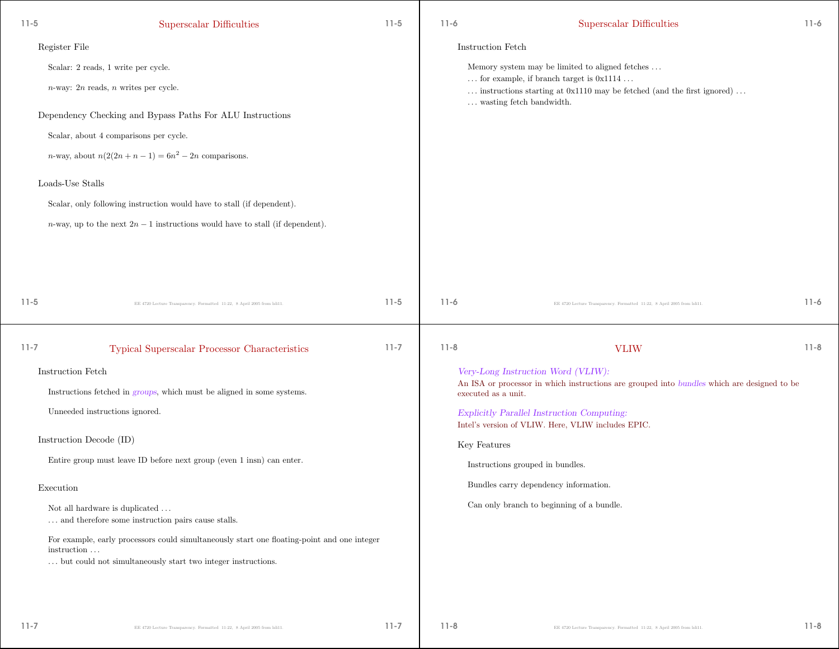| $11 - 5$  | Superscalar Difficulties                                                                                   | $11-5$   | $11-6$              | Superscalar Difficulties                                                                                                                                                          | $11 - 6$ |
|-----------|------------------------------------------------------------------------------------------------------------|----------|---------------------|-----------------------------------------------------------------------------------------------------------------------------------------------------------------------------------|----------|
|           | Register File                                                                                              |          | Instruction Fetch   |                                                                                                                                                                                   |          |
|           | Scalar: 2 reads, 1 write per cycle.                                                                        |          |                     | Memory system may be limited to aligned fetches                                                                                                                                   |          |
|           | $n$ -way: 2n reads, n writes per cycle.                                                                    |          |                     | $\ldots$ for example, if branch target is $0x1114 \ldots$<br>$\ldots$ instructions starting at 0x1110 may be fetched (and the first ignored) $\ldots$<br>wasting fetch bandwidth. |          |
|           | Dependency Checking and Bypass Paths For ALU Instructions                                                  |          |                     |                                                                                                                                                                                   |          |
|           | Scalar, about 4 comparisons per cycle.                                                                     |          |                     |                                                                                                                                                                                   |          |
|           | <i>n</i> -way, about $n(2(2n+n-1)) = 6n^2 - 2n$ comparisons.                                               |          |                     |                                                                                                                                                                                   |          |
|           | Loads-Use Stalls                                                                                           |          |                     |                                                                                                                                                                                   |          |
|           | Scalar, only following instruction would have to stall (if dependent).                                     |          |                     |                                                                                                                                                                                   |          |
|           | <i>n</i> -way, up to the next $2n-1$ instructions would have to stall (if dependent).                      |          |                     |                                                                                                                                                                                   |          |
|           |                                                                                                            |          |                     |                                                                                                                                                                                   |          |
|           |                                                                                                            |          |                     |                                                                                                                                                                                   |          |
|           |                                                                                                            |          |                     |                                                                                                                                                                                   |          |
| $11 - 5$  | EE 4720 Lecture Transparency. Formatted 11:22, 8 April 2005 from Isli11.                                   | $11-5$   | $11-6$              | EE 4720 Lecture Transparency. Formatted 11:22, 8 April 2005 from Isli11.                                                                                                          | $11 - 6$ |
|           |                                                                                                            |          |                     |                                                                                                                                                                                   |          |
| $11 - 7$  | Typical Superscalar Processor Characteristics                                                              | $11 - 7$ | $11 - 8$            | <b>VLIW</b>                                                                                                                                                                       | $11 - 8$ |
|           | Instruction Fetch                                                                                          |          |                     | Very-Long Instruction Word (VLIW):                                                                                                                                                |          |
|           | Instructions fetched in <i>groups</i> , which must be aligned in some systems.                             |          | executed as a unit. | An ISA or processor in which instructions are grouped into bundles which are designed to be                                                                                       |          |
|           | Unneeded instructions ignored.                                                                             |          |                     | <b>Explicitly Parallel Instruction Computing:</b>                                                                                                                                 |          |
|           | Instruction Decode (ID)                                                                                    |          |                     | Intel's version of VLIW. Here, VLIW includes EPIC.                                                                                                                                |          |
|           | Entire group must leave ID before next group (even 1 insn) can enter.                                      |          | Key Features        |                                                                                                                                                                                   |          |
|           |                                                                                                            |          |                     | Instructions grouped in bundles.                                                                                                                                                  |          |
| Execution |                                                                                                            |          |                     | Bundles carry dependency information.                                                                                                                                             |          |
|           | Not all hardware is duplicated $\ldots$<br>$\cdots$ and therefore some instruction pairs cause stalls.     |          |                     | Can only branch to beginning of a bundle.                                                                                                                                         |          |
|           | For example, early processors could simultaneously start one floating-point and one integer<br>instruction |          |                     |                                                                                                                                                                                   |          |
|           | but could not simultaneously start two integer instructions.                                               |          |                     |                                                                                                                                                                                   |          |
|           |                                                                                                            |          |                     |                                                                                                                                                                                   |          |
|           |                                                                                                            |          |                     |                                                                                                                                                                                   |          |

11-8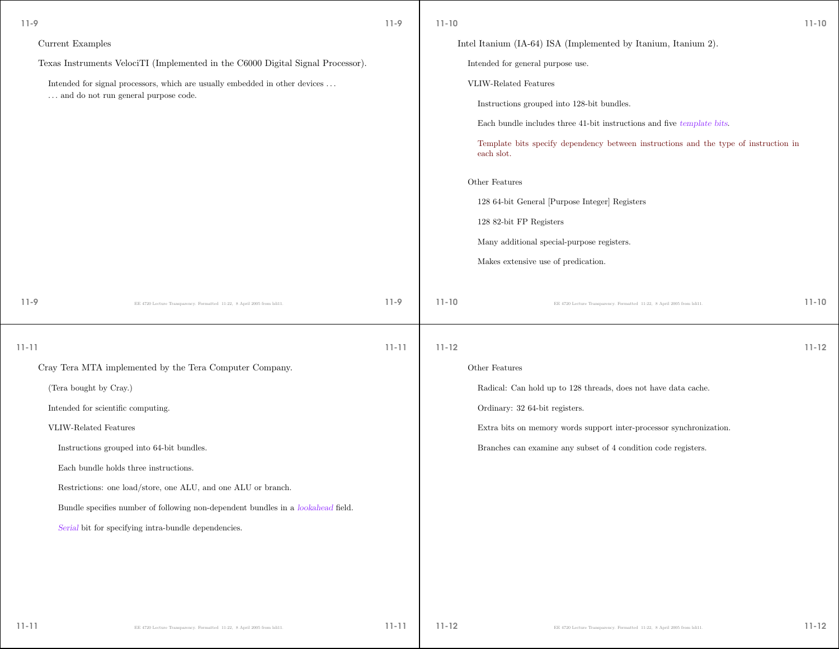| $11-9$    |                                                                                      | $11-9$    | $11 - 10$ |                                                                                                    | $11 - 10$ |
|-----------|--------------------------------------------------------------------------------------|-----------|-----------|----------------------------------------------------------------------------------------------------|-----------|
|           | Current Examples                                                                     |           |           | Intel Itanium (IA-64) ISA (Implemented by Itanium, Itanium 2).                                     |           |
|           | Texas Instruments VelociTI (Implemented in the C6000 Digital Signal Processor).      |           |           | Intended for general purpose use.                                                                  |           |
|           | Intended for signal processors, which are usually embedded in other devices $\ldots$ |           |           | VLIW-Related Features                                                                              |           |
|           | and do not run general purpose code.                                                 |           |           | Instructions grouped into 128-bit bundles.                                                         |           |
|           |                                                                                      |           |           | Each bundle includes three 41-bit instructions and five template bits.                             |           |
|           |                                                                                      |           |           | Template bits specify dependency between instructions and the type of instruction in<br>each slot. |           |
|           |                                                                                      |           |           | Other Features                                                                                     |           |
|           |                                                                                      |           |           | 128 64-bit General [Purpose Integer] Registers                                                     |           |
|           |                                                                                      |           |           | 128 82-bit FP Registers                                                                            |           |
|           |                                                                                      |           |           | Many additional special-purpose registers.                                                         |           |
|           |                                                                                      |           |           | Makes extensive use of predication.                                                                |           |
| $11-9$    | EE 4720 Lecture Transparency. Formatted 11:22, 8 April 2005 from Isli11.             | $11-9$    | $11 - 10$ | EE 4720 Lecture Transparency. Formatted 11:22, 8 April 2005 from Isli11.                           | $11 - 10$ |
| $11 - 11$ |                                                                                      | $11 - 11$ | $11 - 12$ |                                                                                                    | $11 - 12$ |
|           | Cray Tera MTA implemented by the Tera Computer Company.                              |           |           | Other Features                                                                                     |           |
|           | (Tera bought by Cray.)                                                               |           |           | Radical: Can hold up to 128 threads, does not have data cache.                                     |           |
|           | Intended for scientific computing.                                                   |           |           | Ordinary: 32 64-bit registers.                                                                     |           |
|           | VLIW-Related Features                                                                |           |           | Extra bits on memory words support inter-processor synchronization.                                |           |
|           | Instructions grouped into 64-bit bundles.                                            |           |           | Branches can examine any subset of 4 condition code registers.                                     |           |
|           | Each bundle holds three instructions.                                                |           |           |                                                                                                    |           |
|           | Restrictions: one load/store, one ALU, and one ALU or branch.                        |           |           |                                                                                                    |           |
|           | Bundle specifies number of following non-dependent bundles in a lookahead field.     |           |           |                                                                                                    |           |
|           | Serial bit for specifying intra-bundle dependencies.                                 |           |           |                                                                                                    |           |
|           |                                                                                      |           |           |                                                                                                    |           |
|           |                                                                                      |           |           |                                                                                                    |           |
|           |                                                                                      |           |           |                                                                                                    |           |
| $11 - 11$ | EE 4720 Lecture Transparency. Formatted 11:22, 8 April 2005 from Isli11              | $11 - 11$ | $11 - 12$ | EE 4720 Lecture Transparency. Formatted 11:22, 8 April 2005 from lsli11.                           | $11 - 12$ |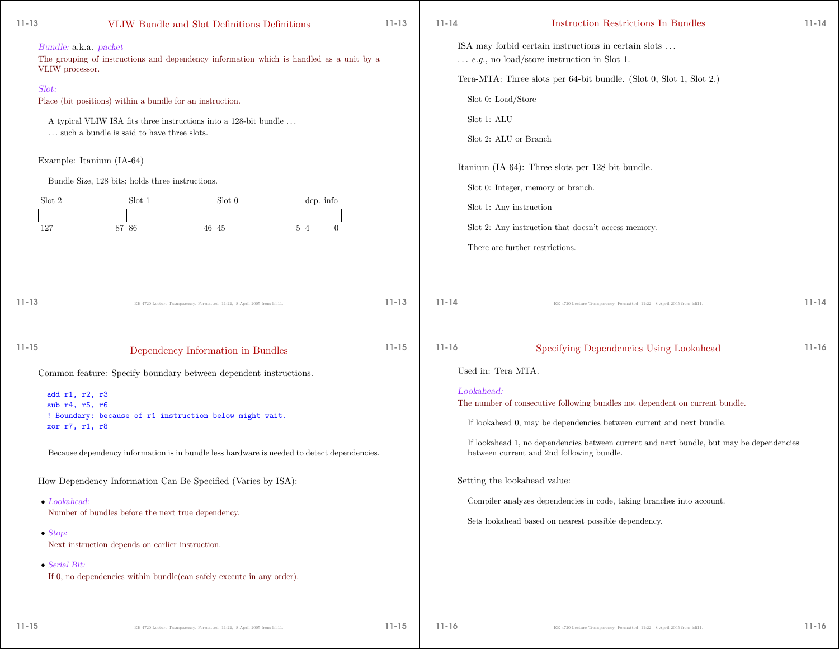| $11 - 13$                                                  |                                                           | VLIW Bundle and Slot Definitions Definitions                                                                                                                                                                                                 |                       | $11 - 13$              | $11 - 14$                            | Instruction Restrictions In Bundles                                                                                                                                                                                                                                                               | $11 - 14$              |
|------------------------------------------------------------|-----------------------------------------------------------|----------------------------------------------------------------------------------------------------------------------------------------------------------------------------------------------------------------------------------------------|-----------------------|------------------------|--------------------------------------|---------------------------------------------------------------------------------------------------------------------------------------------------------------------------------------------------------------------------------------------------------------------------------------------------|------------------------|
| Bundle: a.k.a. packet<br>VLIW processor.                   |                                                           | The grouping of instructions and dependency information which is handled as a unit by a                                                                                                                                                      |                       |                        |                                      | ISA may forbid certain instructions in certain slots<br>$\ldots$ <i>e.g.</i> , no load/store instruction in Slot 1.                                                                                                                                                                               |                        |
| Slot:                                                      |                                                           |                                                                                                                                                                                                                                              |                       |                        |                                      | Tera-MTA: Three slots per 64-bit bundle. (Slot 0, Slot 1, Slot 2.)                                                                                                                                                                                                                                |                        |
|                                                            | Place (bit positions) within a bundle for an instruction. |                                                                                                                                                                                                                                              |                       |                        |                                      | Slot 0: Load/Store                                                                                                                                                                                                                                                                                |                        |
|                                                            |                                                           | A typical VLIW ISA fits three instructions into a 128-bit bundle                                                                                                                                                                             |                       |                        | Slot 1: ALU                          |                                                                                                                                                                                                                                                                                                   |                        |
|                                                            | such a bundle is said to have three slots.                |                                                                                                                                                                                                                                              |                       |                        |                                      | Slot 2: ALU or Branch                                                                                                                                                                                                                                                                             |                        |
| Example: Itanium (IA-64)                                   |                                                           |                                                                                                                                                                                                                                              |                       |                        |                                      | Itanium (IA-64): Three slots per 128-bit bundle.                                                                                                                                                                                                                                                  |                        |
|                                                            | Bundle Size, 128 bits; holds three instructions.          |                                                                                                                                                                                                                                              |                       |                        |                                      | Slot 0: Integer, memory or branch.                                                                                                                                                                                                                                                                |                        |
| Slot 2                                                     | Slot 1                                                    | Slot 0                                                                                                                                                                                                                                       | dep. info             |                        |                                      | Slot 1: Any instruction                                                                                                                                                                                                                                                                           |                        |
| 127                                                        | 87 86                                                     | 46 45                                                                                                                                                                                                                                        | 5 4<br>$\overline{0}$ |                        |                                      | Slot 2: Any instruction that doesn't access memory.                                                                                                                                                                                                                                               |                        |
|                                                            |                                                           |                                                                                                                                                                                                                                              |                       |                        |                                      | There are further restrictions.                                                                                                                                                                                                                                                                   |                        |
| $11 - 13$<br>$11 - 15$<br>add r1, r2, r3<br>sub r4, r5, r6 |                                                           | EE 4720 Lecture Transparency. Formatted 11:22, 8 April 2005 from lsli11.<br>Dependency Information in Bundles<br>Common feature: Specify boundary between dependent instructions.<br>! Boundary: because of r1 instruction below might wait. |                       | $11 - 13$<br>$11 - 15$ | $11 - 14$<br>$11 - 16$<br>Lookahead: | EE 4720 Lecture Transparency. Formatted 11:22, 8 April 2005 from Isli11.<br>Specifying Dependencies Using Lookahead<br>Used in: Tera MTA.<br>The number of consecutive following bundles not dependent on current bundle.<br>If lookahead 0, may be dependencies between current and next bundle. | $11 - 14$<br>$11 - 16$ |
| xor r7, r1, r8                                             |                                                           | Because dependency information is in bundle less hardware is needed to detect dependencies.                                                                                                                                                  |                       |                        |                                      | If lookahead 1, no dependencies between current and next bundle, but may be dependencies<br>between current and 2nd following bundle.                                                                                                                                                             |                        |
|                                                            |                                                           | How Dependency Information Can Be Specified (Varies by ISA):                                                                                                                                                                                 |                       |                        |                                      | Setting the lookahead value:                                                                                                                                                                                                                                                                      |                        |
| $\bullet$ Lookahead:                                       |                                                           |                                                                                                                                                                                                                                              |                       |                        |                                      | Compiler analyzes dependencies in code, taking branches into account.                                                                                                                                                                                                                             |                        |
|                                                            | Number of bundles before the next true dependency.        |                                                                                                                                                                                                                                              |                       |                        |                                      | Sets lookahead based on nearest possible dependency.                                                                                                                                                                                                                                              |                        |
| $\bullet$ Stop:                                            | Next instruction depends on earlier instruction.          |                                                                                                                                                                                                                                              |                       |                        |                                      |                                                                                                                                                                                                                                                                                                   |                        |
| $\bullet$ Serial Bit:                                      |                                                           | If 0, no dependencies within bundle(can safely execute in any order).                                                                                                                                                                        |                       |                        |                                      |                                                                                                                                                                                                                                                                                                   |                        |

11-16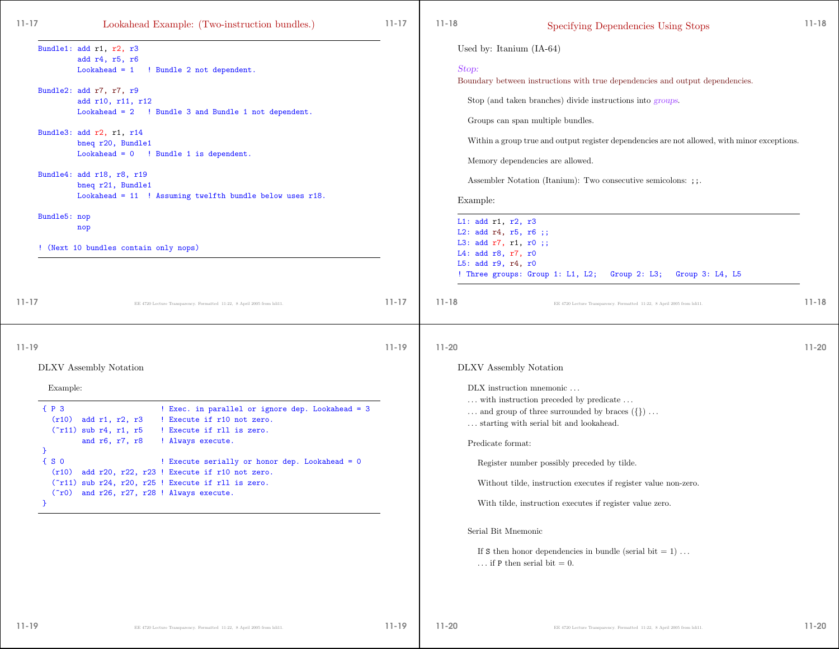| $11 - 17$<br>Lookahead Example: (Two-instruction bundles.)                                                                                                                                                                                                                                                                                                                                                                                                                                                  | $11 - 17$ | $11 - 18$                                                                                             | Specifying Dependencies Using Stops                                                                                                                                                                                                                                                                                                                                                                                                                                                                                                              | $11 - 18$ |
|-------------------------------------------------------------------------------------------------------------------------------------------------------------------------------------------------------------------------------------------------------------------------------------------------------------------------------------------------------------------------------------------------------------------------------------------------------------------------------------------------------------|-----------|-------------------------------------------------------------------------------------------------------|--------------------------------------------------------------------------------------------------------------------------------------------------------------------------------------------------------------------------------------------------------------------------------------------------------------------------------------------------------------------------------------------------------------------------------------------------------------------------------------------------------------------------------------------------|-----------|
| Bundle1: add r1, r2, r3<br>add r4, r5, r6<br>$Look ahead = 1$<br>! Bundle 2 not dependent.<br>Bundle2: add r7, r7, r9<br>add r10, r11, r12<br>Lookahead = 2 ! Bundle 3 and Bundle 1 not dependent.<br>Bundle3: add r2, r1, r14<br>bneq r20, Bundle1<br>$Look ahead = 0$ ! Bundle 1 is dependent.<br>Bundle4: add r18, r8, r19<br>bneq r21, Bundle1<br>Lookahead = 11 ! Assuming twelfth bundle below uses r18.<br>Bundle5: nop<br>nop<br>! (Next 10 bundles contain only nops)                              |           | Stop:<br>Example:<br>L1: $add r1, r2, r3$<br>L4: add $r8$ , $r7$ , $r0$<br>L5: add $r9$ , $r4$ , $r0$ | Used by: Itanium $(IA-64)$<br>Boundary between instructions with true dependencies and output dependencies.<br>Stop (and taken branches) divide instructions into groups.<br>Groups can span multiple bundles.<br>Within a group true and output register dependencies are not allowed, with minor exceptions.<br>Memory dependencies are allowed.<br>Assembler Notation (Itanium): Two consecutive semicolons: ; ; .<br>L2: add $r4$ , $r5$ , $r6$ ;;<br>L3: add r7, r1, r0 ;;<br>! Three groups: Group 1: L1, L2; Group 2: L3; Group 3: L4, L5 |           |
| $11 - 17$<br>EE 4720 Lecture Transparency. Formatted 11:22, 8 April 2005 from Isli11.                                                                                                                                                                                                                                                                                                                                                                                                                       | $11 - 17$ | $11 - 18$                                                                                             | EE 4720 Lecture Transparency. Formatted 11:22, 8 April 2005 from Isli11.                                                                                                                                                                                                                                                                                                                                                                                                                                                                         | $11 - 18$ |
| $11 - 19$<br>DLXV Assembly Notation<br>Example:<br>$\{P_3$<br>! Exec. in parallel or ignore dep. Lookahead = 3<br>! Execute if r10 not zero.<br>$(r10)$ add r1, r2, r3<br>! Execute if rll is zero.<br>$("r11)$ sub r4, r1, r5<br>and r6, r7, r8<br>! Always execute.<br>P.<br>$\{S$ 0<br>! Execute serially or honor dep. Lookahead = 0<br>(r10) add r20, r22, r23 ! Execute if r10 not zero.<br>("r11) sub r24, r20, r25 ! Execute if rll is zero.<br>$(5r0)$ and $r26$ , $r27$ , $r28$ ! Always execute. | $11 - 19$ | $11 - 20$                                                                                             | DLXV Assembly Notation<br>DLX instruction mnemonic<br>$\dots$ with instruction preceded by predicate $\dots$<br>and group of three surrounded by braces $(\{\}) \dots$<br>starting with serial bit and lookahead.<br>Predicate format:<br>Register number possibly preceded by tilde.<br>Without tilde, instruction executes if register value non-zero.<br>With tilde, instruction executes if register value zero.<br>Serial Bit Mnemonic<br>If S then honor dependencies in bundle (serial bit = 1)<br>if P then serial bit $= 0$ .           | $11 - 20$ |

11-20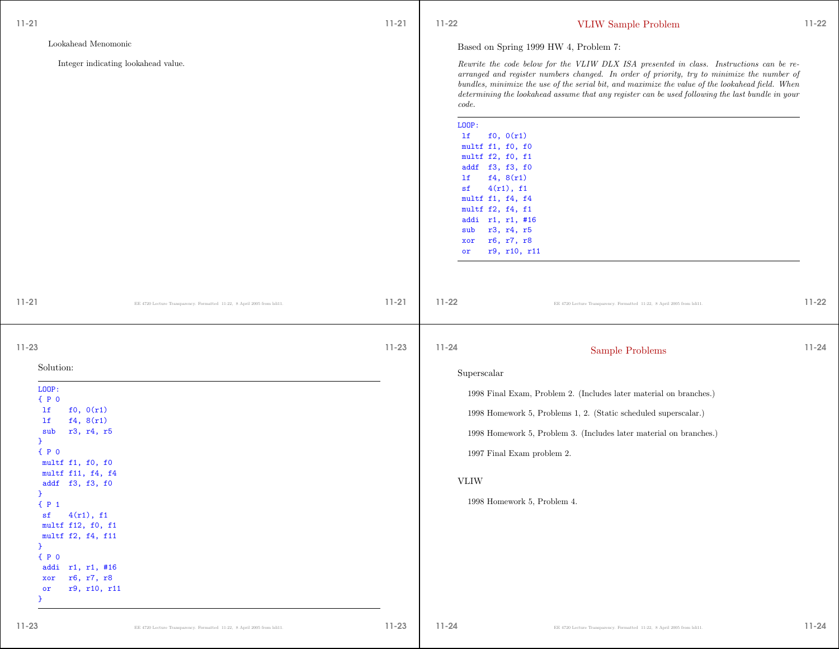| $11 - 21$                                                                                                                                                                  | $11 - 21$ | $11-22$                                                                                                                                                                                                                               | <b>VLIW</b> Sample Problem                                                                                                                                                                                                                                                                                                                                                                    | $11 - 22$ |
|----------------------------------------------------------------------------------------------------------------------------------------------------------------------------|-----------|---------------------------------------------------------------------------------------------------------------------------------------------------------------------------------------------------------------------------------------|-----------------------------------------------------------------------------------------------------------------------------------------------------------------------------------------------------------------------------------------------------------------------------------------------------------------------------------------------------------------------------------------------|-----------|
| Lookahead Menomonic                                                                                                                                                        |           |                                                                                                                                                                                                                                       | Based on Spring 1999 HW 4, Problem 7:                                                                                                                                                                                                                                                                                                                                                         |           |
| Integer indicating lookahead value.                                                                                                                                        |           | code.                                                                                                                                                                                                                                 | Rewrite the code below for the VLIW DLX ISA presented in class. Instructions can be re-<br>arranged and register numbers changed. In order of priority, try to minimize the number of<br>bundles, minimize the use of the serial bit, and maximize the value of the lookahead field. When<br>determining the lookahead assume that any register can be used following the last bundle in your |           |
|                                                                                                                                                                            |           | LOOP:<br>f0, 0(r1)<br>1f<br>multf f1, f0, f0<br>multf f2, f0, f1<br>addf f3, f3, f0<br>f4, 8(r1)<br>lf<br>4(r1), f1<br>sf<br>multf f1, f4, f4<br>multf f2, f4, f1<br>addi r1, r1, #16<br>r3, r4, r5<br>sub<br>r6, r7, r8<br>xor<br>or | r9, r10, r11                                                                                                                                                                                                                                                                                                                                                                                  |           |
| $11 - 21$<br>EE 4720 Lecture Transparency. Formatted 11:22, 8 April 2005 from Isli11.                                                                                      | $11 - 21$ | $11 - 22$                                                                                                                                                                                                                             | EE 4720 Lecture Transparency. Formatted 11:22, 8 April 2005 from Isli11.                                                                                                                                                                                                                                                                                                                      | $11 - 22$ |
| $11 - 23$                                                                                                                                                                  | $11 - 23$ | $11 - 24$                                                                                                                                                                                                                             | Sample Problems                                                                                                                                                                                                                                                                                                                                                                               | $11 - 24$ |
| Solution:                                                                                                                                                                  |           | Superscalar                                                                                                                                                                                                                           |                                                                                                                                                                                                                                                                                                                                                                                               |           |
| LOOP:<br>P <sub>0</sub>                                                                                                                                                    |           |                                                                                                                                                                                                                                       | 1998 Final Exam, Problem 2. (Includes later material on branches.)                                                                                                                                                                                                                                                                                                                            |           |
| f0, 0(r1)<br>1f<br>f4, 8(r1)<br>1f                                                                                                                                         |           |                                                                                                                                                                                                                                       | 1998 Homework 5, Problems 1, 2. (Static scheduled superscalar.)                                                                                                                                                                                                                                                                                                                               |           |
| r3, r4, r5<br>sub<br>}                                                                                                                                                     |           |                                                                                                                                                                                                                                       | 1998 Homework 5, Problem 3. (Includes later material on branches.)                                                                                                                                                                                                                                                                                                                            |           |
| P <sub>0</sub><br>multf f1, f0, f0                                                                                                                                         |           |                                                                                                                                                                                                                                       | 1997 Final Exam problem 2.                                                                                                                                                                                                                                                                                                                                                                    |           |
| multf f11, f4, f4                                                                                                                                                          |           | <b>VLIW</b>                                                                                                                                                                                                                           |                                                                                                                                                                                                                                                                                                                                                                                               |           |
| addf f3, f3, f0<br>$\mathcal{F}$                                                                                                                                           |           |                                                                                                                                                                                                                                       | 1998 Homework 5, Problem 4.                                                                                                                                                                                                                                                                                                                                                                   |           |
| ${P_1}$<br>4(r1), f1<br>sf<br>multf f12, f0, f1<br>multf f2, f4, f11<br>$\mathcal{F}$<br>P <sub>0</sub><br>addi r1, r1, #16<br>xor r6, r7, r8<br>r9, r10, r11<br>or<br>- 1 |           |                                                                                                                                                                                                                                       |                                                                                                                                                                                                                                                                                                                                                                                               |           |
| $11 - 23$                                                                                                                                                                  | $11 - 23$ | $11 - 24$                                                                                                                                                                                                                             |                                                                                                                                                                                                                                                                                                                                                                                               | $11 - 24$ |